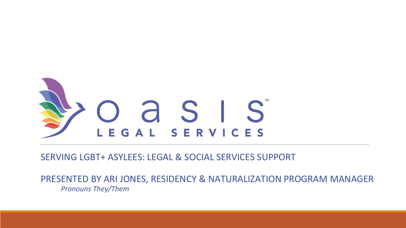

#### SERVING LGBT+ ASYLEES: LEGAL & SOCIAL SERVICES SUPPORT

PRESENTED BY ARI JONES, RESIDENCY & NATURALIZATION PROGRAM MANAGER *Pronouns They/Them*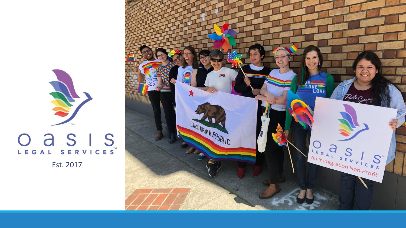

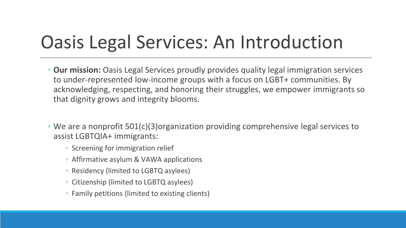## Oasis Legal Services: An Introduction

- **Our mission:** Oasis Legal Services proudly provides quality legal immigration services to under-represented low-income groups with a focus on LGBT+ communities. By acknowledging, respecting, and honoring their struggles, we empower immigrants so that dignity grows and integrity blooms.
- We are a nonprofit 501(c)(3)organization providing comprehensive legal services to assist LGBTQIA+ immigrants:
	- Screening for immigration relief
	- Affirmative asylum & VAWA applications
	- Residency (limited to LGBTQ asylees)
	- Citizenship (limited to LGBTQ asylees)
	- Family petitions (limited to existing clients)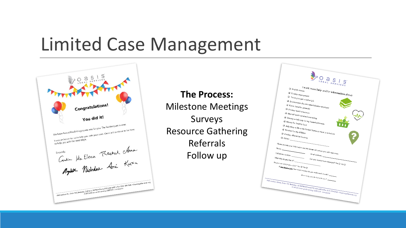### Limited Case Management



**The Process:** Milestone Meetings Surveys Resource Gathering Referrals Follow up

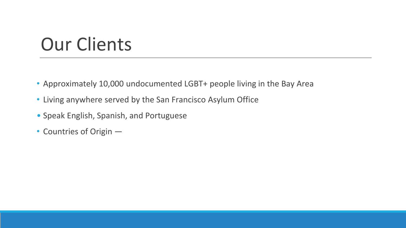## Our Clients

- Approximately 10,000 undocumented LGBT+ people living in the Bay Area
- Living anywhere served by the San Francisco Asylum Office
- Speak English, Spanish, and Portuguese
- Countries of Origin —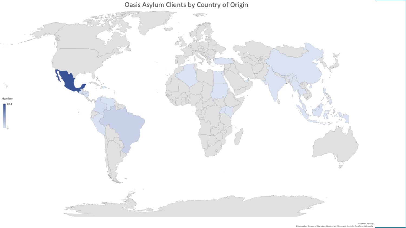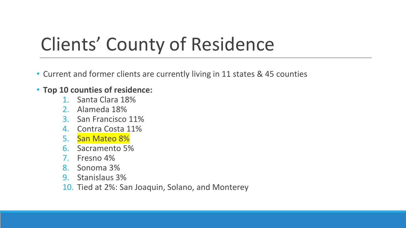# Clients' County of Residence

• Current and former clients are currently living in 11 states & 45 counties

#### • **Top 10 counties of residence:**

- 1. Santa Clara 18%
- 2. Alameda 18%
- 3. San Francisco 11%
- 4. Contra Costa 11%
- 5. San Mateo 8%
- 6. Sacramento 5%
- 7. Fresno 4%
- 8. Sonoma 3%
- 9. Stanislaus 3%
- 10. Tied at 2%: San Joaquin, Solano, and Monterey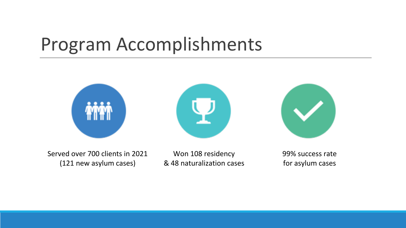### Program Accomplishments







Served over 700 clients in 2021 (121 new asylum cases)

Won 108 residency & 48 naturalization cases 99% success rate for asylum cases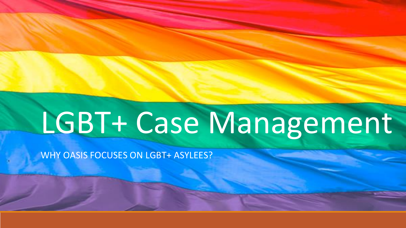# LGBT+ Case Management

WHY OASIS FOCUSES ON LGBT+ ASYLEES?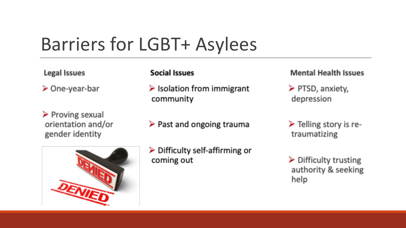## Barriers for LGBT+ Asylees

Legal Issues

 $\triangleright$  One-year-bar

 $\triangleright$  Proving sexual orientation and/or gender identity



#### **Social Issues**

- $\triangleright$  Isolation from immigrant community
- $\triangleright$  Past and ongoing trauma

#### **Mental Health Issues**

- $\triangleright$  PTSD, anxiety, depression
- $\triangleright$  Telling story is retraumatizing
- $\triangleright$  Difficulty trusting authority & seeking help

#### $\triangleright$  Difficulty self-affirming or coming out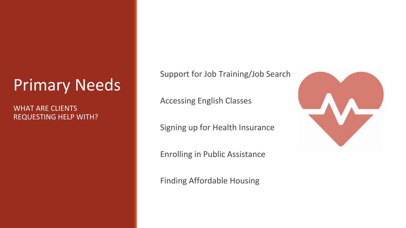### Primary Needs

WHAT ARE CLIENTS REQUESTING HELP WITH? Support for Job Training/Job Search

Accessing English Classes

Signing up for Health Insurance

Enrolling in Public Assistance

Finding Affordable Housing

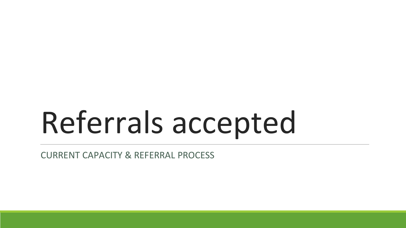# Referrals accepted

CURRENT CAPACITY & REFERRAL PROCESS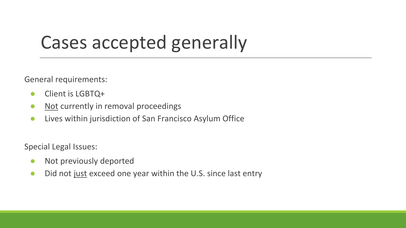## Cases accepted generally

General requirements:

- Client is LGBTQ+
- Not currently in removal proceedings
- Lives within jurisdiction of San Francisco Asylum Office

Special Legal Issues:

- Not previously deported
- Did not just exceed one year within the U.S. since last entry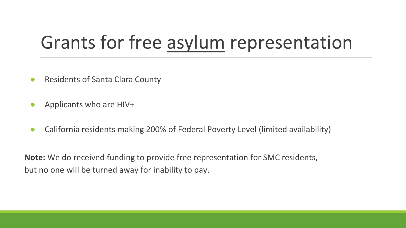### Grants for free asylum representation

- Residents of Santa Clara County
- Applicants who are HIV+
- California residents making 200% of Federal Poverty Level (limited availability)

**Note:** We do received funding to provide free representation for SMC residents, but no one will be turned away for inability to pay.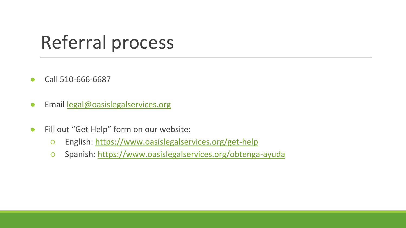### Referral process

- Call 510-666-6687
- Email [legal@oasislegalservices.org](mailto:legal@oasislegalservices.org)
- Fill out "Get Help" form on our website:
	- English: <https://www.oasislegalservices.org/get-help>
	- Spanish:<https://www.oasislegalservices.org/obtenga-ayuda>